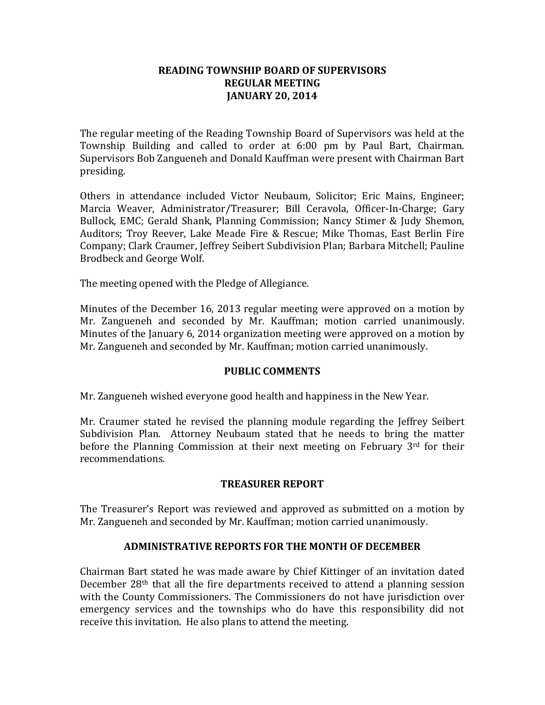### **READING TOWNSHIP BOARD OF SUPERVISORS REGULAR MEETING JANUARY 20, 2014**

The regular meeting of the Reading Township Board of Supervisors was held at the Township Building and called to order at 6:00 pm by Paul Bart, Chairman. Supervisors Bob Zangueneh and Donald Kauffman were present with Chairman Bart presiding.

Others in attendance included Victor Neubaum, Solicitor; Eric Mains, Engineer; Marcia Weaver, Administrator/Treasurer; Bill Ceravola, Officer-In-Charge; Gary Bullock, EMC; Gerald Shank, Planning Commission; Nancy Stimer & Judy Shemon, Auditors; Troy Reever, Lake Meade Fire & Rescue; Mike Thomas, East Berlin Fire Company; Clark Craumer, Jeffrey Seibert Subdivision Plan; Barbara Mitchell; Pauline Brodbeck and George Wolf.

The meeting opened with the Pledge of Allegiance.

Minutes of the December 16, 2013 regular meeting were approved on a motion by Mr. Zangueneh and seconded by Mr. Kauffman; motion carried unanimously. Minutes of the January 6, 2014 organization meeting were approved on a motion by Mr. Zangueneh and seconded by Mr. Kauffman; motion carried unanimously.

### **PUBLIC COMMENTS**

Mr. Zangueneh wished everyone good health and happiness in the New Year.

Mr. Craumer stated he revised the planning module regarding the Jeffrey Seibert Subdivision Plan. Attorney Neubaum stated that he needs to bring the matter before the Planning Commission at their next meeting on February 3rd for their recommendations.

# **TREASURER REPORT**

The Treasurer's Report was reviewed and approved as submitted on a motion by Mr. Zangueneh and seconded by Mr. Kauffman; motion carried unanimously.

# **ADMINISTRATIVE REPORTS FOR THE MONTH OF DECEMBER**

Chairman Bart stated he was made aware by Chief Kittinger of an invitation dated December 28th that all the fire departments received to attend a planning session with the County Commissioners. The Commissioners do not have jurisdiction over emergency services and the townships who do have this responsibility did not receive this invitation. He also plans to attend the meeting.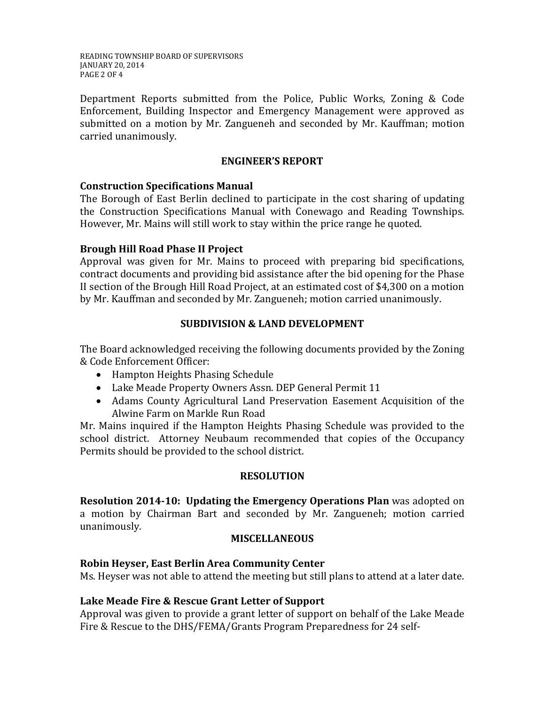READING TOWNSHIP BOARD OF SUPERVISORS JANUARY 20, 2014 PAGE 2 OF 4

Department Reports submitted from the Police, Public Works, Zoning & Code Enforcement, Building Inspector and Emergency Management were approved as submitted on a motion by Mr. Zangueneh and seconded by Mr. Kauffman; motion carried unanimously.

### **ENGINEER'S REPORT**

### **Construction Specifications Manual**

The Borough of East Berlin declined to participate in the cost sharing of updating the Construction Specifications Manual with Conewago and Reading Townships. However, Mr. Mains will still work to stay within the price range he quoted.

# **Brough Hill Road Phase II Project**

Approval was given for Mr. Mains to proceed with preparing bid specifications, contract documents and providing bid assistance after the bid opening for the Phase II section of the Brough Hill Road Project, at an estimated cost of \$4,300 on a motion by Mr. Kauffman and seconded by Mr. Zangueneh; motion carried unanimously.

# **SUBDIVISION & LAND DEVELOPMENT**

The Board acknowledged receiving the following documents provided by the Zoning & Code Enforcement Officer:

- Hampton Heights Phasing Schedule
- Lake Meade Property Owners Assn. DEP General Permit 11
- Adams County Agricultural Land Preservation Easement Acquisition of the Alwine Farm on Markle Run Road

Mr. Mains inquired if the Hampton Heights Phasing Schedule was provided to the school district. Attorney Neubaum recommended that copies of the Occupancy Permits should be provided to the school district.

# **RESOLUTION**

**Resolution 2014-10: Updating the Emergency Operations Plan** was adopted on a motion by Chairman Bart and seconded by Mr. Zangueneh; motion carried unanimously.

### **MISCELLANEOUS**

# **Robin Heyser, East Berlin Area Community Center**

Ms. Heyser was not able to attend the meeting but still plans to attend at a later date.

# **Lake Meade Fire & Rescue Grant Letter of Support**

Approval was given to provide a grant letter of support on behalf of the Lake Meade Fire & Rescue to the DHS/FEMA/Grants Program Preparedness for 24 self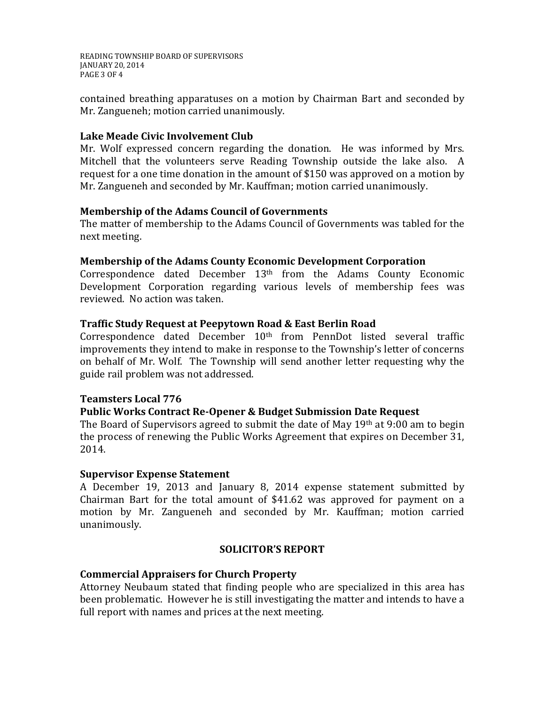READING TOWNSHIP BOARD OF SUPERVISORS JANUARY 20, 2014 PAGE 3 OF 4

contained breathing apparatuses on a motion by Chairman Bart and seconded by Mr. Zangueneh; motion carried unanimously.

# **Lake Meade Civic Involvement Club**

Mr. Wolf expressed concern regarding the donation. He was informed by Mrs. Mitchell that the volunteers serve Reading Township outside the lake also. A request for a one time donation in the amount of \$150 was approved on a motion by Mr. Zangueneh and seconded by Mr. Kauffman; motion carried unanimously.

### **Membership of the Adams Council of Governments**

The matter of membership to the Adams Council of Governments was tabled for the next meeting.

### **Membership of the Adams County Economic Development Corporation**

Correspondence dated December  $13<sup>th</sup>$  from the Adams County Economic Development Corporation regarding various levels of membership fees was reviewed. No action was taken.

### **Traffic Study Request at Peepytown Road & East Berlin Road**

Correspondence dated December 10<sup>th</sup> from PennDot listed several traffic improvements they intend to make in response to the Township's letter of concerns on behalf of Mr. Wolf. The Township will send another letter requesting why the guide rail problem was not addressed.

### **Teamsters Local 776**

### **Public Works Contract Re-Opener & Budget Submission Date Request**

The Board of Supervisors agreed to submit the date of May 19th at 9:00 am to begin the process of renewing the Public Works Agreement that expires on December 31, 2014.

#### **Supervisor Expense Statement**

A December 19, 2013 and January 8, 2014 expense statement submitted by Chairman Bart for the total amount of \$41.62 was approved for payment on a motion by Mr. Zangueneh and seconded by Mr. Kauffman; motion carried unanimously.

### **SOLICITOR'S REPORT**

### **Commercial Appraisers for Church Property**

Attorney Neubaum stated that finding people who are specialized in this area has been problematic. However he is still investigating the matter and intends to have a full report with names and prices at the next meeting.